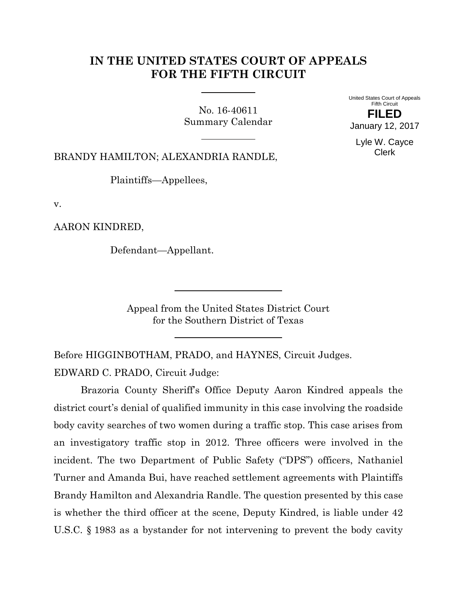# **IN THE UNITED STATES COURT OF APPEALS FOR THE FIFTH CIRCUIT**

No. 16-40611 Summary Calendar United States Court of Appeals Fifth Circuit **FILED** January 12, 2017

> Lyle W. Cayce Clerk

BRANDY HAMILTON; ALEXANDRIA RANDLE,

Plaintiffs—Appellees,

v.

AARON KINDRED,

Defendant—Appellant.

Appeal from the United States District Court for the Southern District of Texas

Before HIGGINBOTHAM, PRADO, and HAYNES, Circuit Judges. EDWARD C. PRADO, Circuit Judge:

Brazoria County Sheriff's Office Deputy Aaron Kindred appeals the district court's denial of qualified immunity in this case involving the roadside body cavity searches of two women during a traffic stop. This case arises from an investigatory traffic stop in 2012. Three officers were involved in the incident. The two Department of Public Safety ("DPS") officers, Nathaniel Turner and Amanda Bui, have reached settlement agreements with Plaintiffs Brandy Hamilton and Alexandria Randle. The question presented by this case is whether the third officer at the scene, Deputy Kindred, is liable under 42 U.S.C. § 1983 as a bystander for not intervening to prevent the body cavity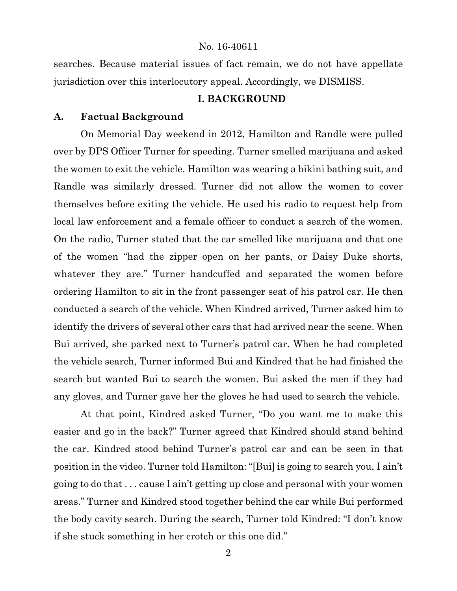searches. Because material issues of fact remain, we do not have appellate jurisdiction over this interlocutory appeal. Accordingly, we DISMISS.

## **I. BACKGROUND**

## **A. Factual Background**

On Memorial Day weekend in 2012, Hamilton and Randle were pulled over by DPS Officer Turner for speeding. Turner smelled marijuana and asked the women to exit the vehicle. Hamilton was wearing a bikini bathing suit, and Randle was similarly dressed. Turner did not allow the women to cover themselves before exiting the vehicle. He used his radio to request help from local law enforcement and a female officer to conduct a search of the women. On the radio, Turner stated that the car smelled like marijuana and that one of the women "had the zipper open on her pants, or Daisy Duke shorts, whatever they are." Turner handcuffed and separated the women before ordering Hamilton to sit in the front passenger seat of his patrol car. He then conducted a search of the vehicle. When Kindred arrived, Turner asked him to identify the drivers of several other cars that had arrived near the scene. When Bui arrived, she parked next to Turner's patrol car. When he had completed the vehicle search, Turner informed Bui and Kindred that he had finished the search but wanted Bui to search the women. Bui asked the men if they had any gloves, and Turner gave her the gloves he had used to search the vehicle.

At that point, Kindred asked Turner, "Do you want me to make this easier and go in the back?" Turner agreed that Kindred should stand behind the car. Kindred stood behind Turner's patrol car and can be seen in that position in the video. Turner told Hamilton: "[Bui] is going to search you, I ain't going to do that . . . cause I ain't getting up close and personal with your women areas." Turner and Kindred stood together behind the car while Bui performed the body cavity search. During the search, Turner told Kindred: "I don't know if she stuck something in her crotch or this one did."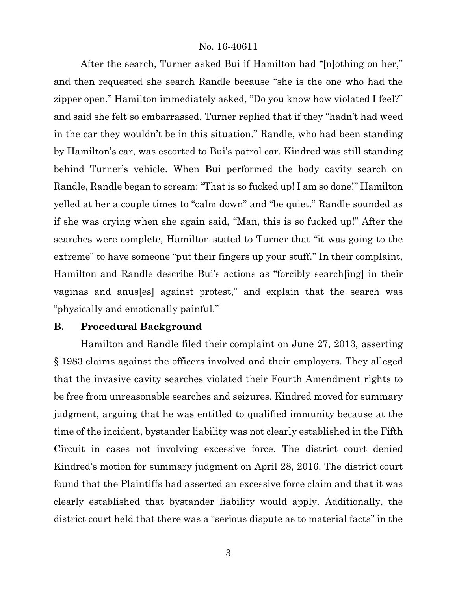After the search, Turner asked Bui if Hamilton had "[n]othing on her," and then requested she search Randle because "she is the one who had the zipper open." Hamilton immediately asked, "Do you know how violated I feel?" and said she felt so embarrassed. Turner replied that if they "hadn't had weed in the car they wouldn't be in this situation." Randle, who had been standing by Hamilton's car, was escorted to Bui's patrol car. Kindred was still standing behind Turner's vehicle. When Bui performed the body cavity search on Randle, Randle began to scream: "That is so fucked up! I am so done!" Hamilton yelled at her a couple times to "calm down" and "be quiet." Randle sounded as if she was crying when she again said, "Man, this is so fucked up!" After the searches were complete, Hamilton stated to Turner that "it was going to the extreme" to have someone "put their fingers up your stuff." In their complaint, Hamilton and Randle describe Bui's actions as "forcibly search[ing] in their vaginas and anus[es] against protest," and explain that the search was "physically and emotionally painful."

#### **B. Procedural Background**

Hamilton and Randle filed their complaint on June 27, 2013, asserting § 1983 claims against the officers involved and their employers. They alleged that the invasive cavity searches violated their Fourth Amendment rights to be free from unreasonable searches and seizures. Kindred moved for summary judgment, arguing that he was entitled to qualified immunity because at the time of the incident, bystander liability was not clearly established in the Fifth Circuit in cases not involving excessive force. The district court denied Kindred's motion for summary judgment on April 28, 2016. The district court found that the Plaintiffs had asserted an excessive force claim and that it was clearly established that bystander liability would apply. Additionally, the district court held that there was a "serious dispute as to material facts" in the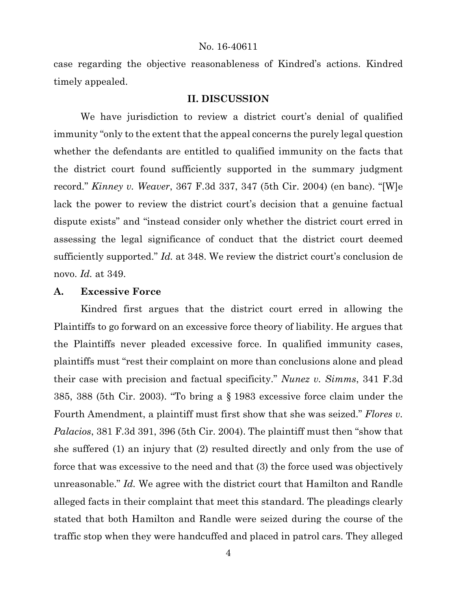case regarding the objective reasonableness of Kindred's actions. Kindred timely appealed.

### **II. DISCUSSION**

We have jurisdiction to review a district court's denial of qualified immunity "only to the extent that the appeal concerns the purely legal question whether the defendants are entitled to qualified immunity on the facts that the district court found sufficiently supported in the summary judgment record." *Kinney v. Weaver*, 367 F.3d 337, 347 (5th Cir. 2004) (en banc). "[W]e lack the power to review the district court's decision that a genuine factual dispute exists" and "instead consider only whether the district court erred in assessing the legal significance of conduct that the district court deemed sufficiently supported." *Id.* at 348. We review the district court's conclusion de novo. *Id.* at 349.

#### **A. Excessive Force**

Kindred first argues that the district court erred in allowing the Plaintiffs to go forward on an excessive force theory of liability. He argues that the Plaintiffs never pleaded excessive force. In qualified immunity cases, plaintiffs must "rest their complaint on more than conclusions alone and plead their case with precision and factual specificity." *Nunez v. Simms*, 341 F.3d 385, 388 (5th Cir. 2003). "To bring a § 1983 excessive force claim under the Fourth Amendment, a plaintiff must first show that she was seized." *Flores v. Palacios*, 381 F.3d 391, 396 (5th Cir. 2004). The plaintiff must then "show that she suffered (1) an injury that (2) resulted directly and only from the use of force that was excessive to the need and that (3) the force used was objectively unreasonable." *Id.* We agree with the district court that Hamilton and Randle alleged facts in their complaint that meet this standard. The pleadings clearly stated that both Hamilton and Randle were seized during the course of the traffic stop when they were handcuffed and placed in patrol cars. They alleged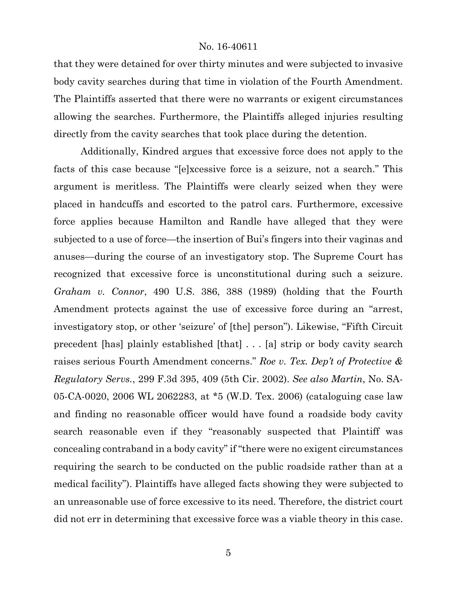that they were detained for over thirty minutes and were subjected to invasive body cavity searches during that time in violation of the Fourth Amendment. The Plaintiffs asserted that there were no warrants or exigent circumstances allowing the searches. Furthermore, the Plaintiffs alleged injuries resulting directly from the cavity searches that took place during the detention.

Additionally, Kindred argues that excessive force does not apply to the facts of this case because "[e]xcessive force is a seizure, not a search." This argument is meritless. The Plaintiffs were clearly seized when they were placed in handcuffs and escorted to the patrol cars. Furthermore, excessive force applies because Hamilton and Randle have alleged that they were subjected to a use of force—the insertion of Bui's fingers into their vaginas and anuses—during the course of an investigatory stop. The Supreme Court has recognized that excessive force is unconstitutional during such a seizure. *Graham v. Connor*, 490 U.S. 386, 388 (1989) (holding that the Fourth Amendment protects against the use of excessive force during an "arrest, investigatory stop, or other 'seizure' of [the] person"). Likewise, "Fifth Circuit precedent [has] plainly established [that] . . . [a] strip or body cavity search raises serious Fourth Amendment concerns." *Roe v. Tex. Dep't of Protective & Regulatory Servs.*, 299 F.3d 395, 409 (5th Cir. 2002). *See also Martin*, No. SA-05-CA-0020, 2006 WL 2062283, at \*5 (W.D. Tex. 2006) (cataloguing case law and finding no reasonable officer would have found a roadside body cavity search reasonable even if they "reasonably suspected that Plaintiff was concealing contraband in a body cavity" if "there were no exigent circumstances requiring the search to be conducted on the public roadside rather than at a medical facility"). Plaintiffs have alleged facts showing they were subjected to an unreasonable use of force excessive to its need. Therefore, the district court did not err in determining that excessive force was a viable theory in this case.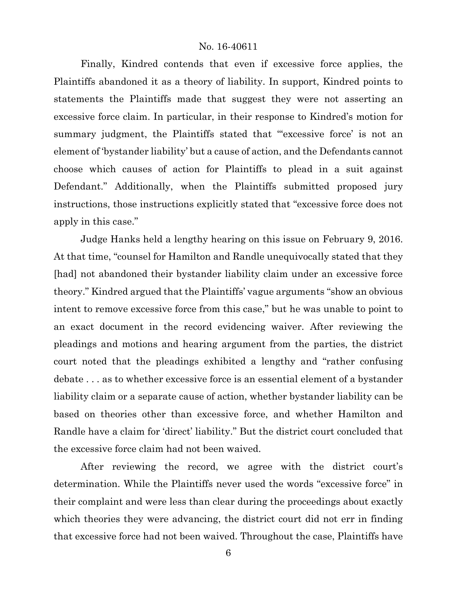Finally, Kindred contends that even if excessive force applies, the Plaintiffs abandoned it as a theory of liability. In support, Kindred points to statements the Plaintiffs made that suggest they were not asserting an excessive force claim. In particular, in their response to Kindred's motion for summary judgment, the Plaintiffs stated that "excessive force' is not an element of 'bystander liability' but a cause of action, and the Defendants cannot choose which causes of action for Plaintiffs to plead in a suit against Defendant." Additionally, when the Plaintiffs submitted proposed jury instructions, those instructions explicitly stated that "excessive force does not apply in this case."

Judge Hanks held a lengthy hearing on this issue on February 9, 2016. At that time, "counsel for Hamilton and Randle unequivocally stated that they [had] not abandoned their bystander liability claim under an excessive force theory." Kindred argued that the Plaintiffs' vague arguments "show an obvious intent to remove excessive force from this case," but he was unable to point to an exact document in the record evidencing waiver. After reviewing the pleadings and motions and hearing argument from the parties, the district court noted that the pleadings exhibited a lengthy and "rather confusing debate . . . as to whether excessive force is an essential element of a bystander liability claim or a separate cause of action, whether bystander liability can be based on theories other than excessive force, and whether Hamilton and Randle have a claim for 'direct' liability." But the district court concluded that the excessive force claim had not been waived.

After reviewing the record, we agree with the district court's determination. While the Plaintiffs never used the words "excessive force" in their complaint and were less than clear during the proceedings about exactly which theories they were advancing, the district court did not err in finding that excessive force had not been waived. Throughout the case, Plaintiffs have